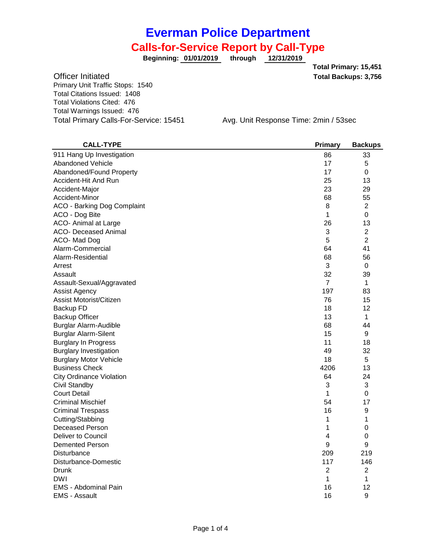**01/01/2019 through 12/31/2019 Beginning:**

**Total Backups: 3,756 Total Primary: 15,451**

Officer Initiated Primary Unit Traffic Stops: 1540 Total Citations Issued: 1408 Total Violations Cited: 476 Total Warnings Issued: 476

Total Primary Calls-For-Service: 15451 Avg. Unit Response Time: 2min / 53sec

| <b>CALL-TYPE</b>                   | <b>Primary</b> | <b>Backups</b> |
|------------------------------------|----------------|----------------|
| 911 Hang Up Investigation          | 86             | 33             |
| <b>Abandoned Vehicle</b>           | 17             | 5              |
| Abandoned/Found Property           | 17             | 0              |
| Accident-Hit And Run               | 25             | 13             |
| Accident-Major                     | 23             | 29             |
| Accident-Minor                     | 68             | 55             |
| <b>ACO - Barking Dog Complaint</b> | 8              | $\overline{c}$ |
| ACO - Dog Bite                     | 1              | 0              |
| ACO- Animal at Large               | 26             | 13             |
| <b>ACO- Deceased Animal</b>        | 3              | $\overline{2}$ |
| ACO-Mad Dog                        | 5              | $\overline{2}$ |
| Alarm-Commercial                   | 64             | 41             |
| Alarm-Residential                  | 68             | 56             |
| Arrest                             | 3              | 0              |
| Assault                            | 32             | 39             |
| Assault-Sexual/Aggravated          | $\overline{7}$ | 1              |
| Assist Agency                      | 197            | 83             |
| Assist Motorist/Citizen            | 76             | 15             |
| Backup FD                          | 18             | 12             |
| Backup Officer                     | 13             | 1              |
| <b>Burglar Alarm-Audible</b>       | 68             | 44             |
| <b>Burglar Alarm-Silent</b>        | 15             | 9              |
| <b>Burglary In Progress</b>        | 11             | 18             |
| <b>Burglary Investigation</b>      | 49             | 32             |
| <b>Burglary Motor Vehicle</b>      | 18             | 5              |
| <b>Business Check</b>              | 4206           | 13             |
| <b>City Ordinance Violation</b>    | 64             | 24             |
| Civil Standby                      | 3              | 3              |
| <b>Court Detail</b>                | 1              | 0              |
| <b>Criminal Mischief</b>           | 54             | 17             |
| <b>Criminal Trespass</b>           | 16             | 9              |
| Cutting/Stabbing                   | 1              | 1              |
| <b>Deceased Person</b>             | 1              | 0              |
| Deliver to Council                 | 4              | 0              |
| <b>Demented Person</b>             | 9              | 9              |
| Disturbance                        | 209            | 219            |
| Disturbance-Domestic               | 117            | 146            |
| Drunk                              | $\overline{c}$ | 2              |
| <b>DWI</b>                         | 1              | 1              |
| <b>EMS</b> - Abdominal Pain        | 16             | 12             |
| <b>EMS - Assault</b>               | 16             | 9              |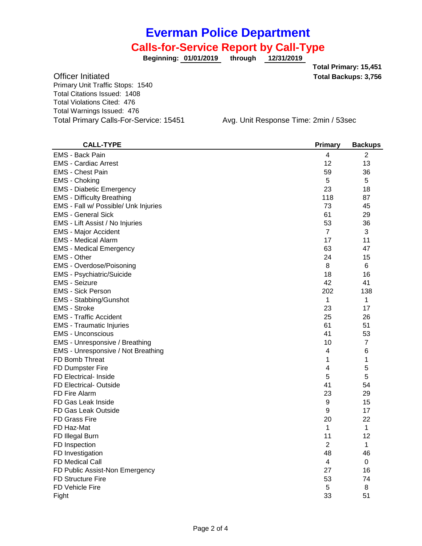**01/01/2019 through 12/31/2019 Beginning:**

**Total Backups: 3,756 Total Primary: 15,451**

Officer Initiated Primary Unit Traffic Stops: 1540 Total Citations Issued: 1408 Total Violations Cited: 476 Total Warnings Issued: 476 Total Primary Calls-For-Service: 15451 Avg. Unit Response Time: 2min / 53sec

| <b>CALL-TYPE</b>                     | <b>Primary</b> | <b>Backups</b> |
|--------------------------------------|----------------|----------------|
| <b>EMS - Back Pain</b>               | 4              | 2              |
| <b>EMS - Cardiac Arrest</b>          | 12             | 13             |
| <b>EMS - Chest Pain</b>              | 59             | 36             |
| <b>EMS - Choking</b>                 | 5              | 5              |
| <b>EMS</b> - Diabetic Emergency      | 23             | 18             |
| <b>EMS - Difficulty Breathing</b>    | 118            | 87             |
| EMS - Fall w/ Possible/ Unk Injuries | 73             | 45             |
| <b>EMS - General Sick</b>            | 61             | 29             |
| EMS - Lift Assist / No Injuries      | 53             | 36             |
| <b>EMS - Major Accident</b>          | $\overline{7}$ | 3              |
| <b>EMS - Medical Alarm</b>           | 17             | 11             |
| <b>EMS - Medical Emergency</b>       | 63             | 47             |
| <b>EMS</b> - Other                   | 24             | 15             |
| EMS - Overdose/Poisoning             | 8              | 6              |
| EMS - Psychiatric/Suicide            | 18             | 16             |
| <b>EMS - Seizure</b>                 | 42             | 41             |
| <b>EMS - Sick Person</b>             | 202            | 138            |
| <b>EMS - Stabbing/Gunshot</b>        | 1              | $\mathbf{1}$   |
| <b>EMS - Stroke</b>                  | 23             | 17             |
| <b>EMS - Traffic Accident</b>        | 25             | 26             |
| <b>EMS</b> - Traumatic Injuries      | 61             | 51             |
| <b>EMS - Unconscious</b>             | 41             | 53             |
| EMS - Unresponsive / Breathing       | 10             | $\overline{7}$ |
| EMS - Unresponsive / Not Breathing   | 4              | 6              |
| FD Bomb Threat                       | 1              | 1              |
| FD Dumpster Fire                     | 4              | 5              |
| FD Electrical- Inside                | 5              | 5              |
| FD Electrical-Outside                | 41             | 54             |
| FD Fire Alarm                        | 23             | 29             |
| FD Gas Leak Inside                   | 9              | 15             |
| FD Gas Leak Outside                  | 9              | 17             |
| <b>FD Grass Fire</b>                 | 20             | 22             |
| FD Haz-Mat                           | 1              | $\mathbf{1}$   |
| FD Illegal Burn                      | 11             | 12             |
| FD Inspection                        | 2              | 1              |
| FD Investigation                     | 48             | 46             |
| FD Medical Call                      | 4              | 0              |
| FD Public Assist-Non Emergency       | 27             | 16             |
| <b>FD Structure Fire</b>             | 53             | 74             |
| <b>FD Vehicle Fire</b>               | 5              | 8              |
| Fight                                | 33             | 51             |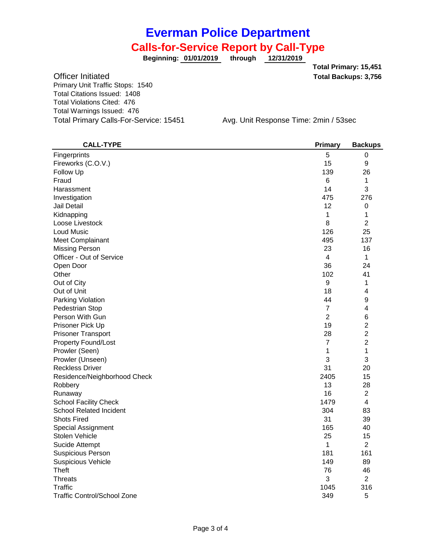**01/01/2019 through 12/31/2019 Beginning:**

**Total Backups: 3,756 Total Primary: 15,451**

Officer Initiated Primary Unit Traffic Stops: 1540 Total Citations Issued: 1408 Total Violations Cited: 476 Total Warnings Issued: 476 Total Primary Calls-For-Service: 15451 Avg. Unit Response Time: 2min / 53sec

| <b>CALL-TYPE</b>                   | <b>Primary</b>   | <b>Backups</b>   |
|------------------------------------|------------------|------------------|
| Fingerprints                       | 5                | 0                |
| Fireworks (C.O.V.)                 | 15               | 9                |
| Follow Up                          | 139              | 26               |
| Fraud                              | 6                | 1                |
| Harassment                         | 14               | 3                |
| Investigation                      | 475              | 276              |
| Jail Detail                        | 12               | $\boldsymbol{0}$ |
| Kidnapping                         | 1                | 1                |
| Loose Livestock                    | 8                | $\overline{2}$   |
| Loud Music                         | 126              | 25               |
| Meet Complainant                   | 495              | 137              |
| <b>Missing Person</b>              | 23               | 16               |
| Officer - Out of Service           | 4                | 1                |
| Open Door                          | 36               | 24               |
| Other                              | 102              | 41               |
| Out of City                        | $\boldsymbol{9}$ | 1                |
| Out of Unit                        | 18               | 4                |
| Parking Violation                  | 44               | 9                |
| Pedestrian Stop                    | 7                | 4                |
| Person With Gun                    | $\overline{2}$   | 6                |
| Prisoner Pick Up                   | 19               | $\overline{2}$   |
| <b>Prisoner Transport</b>          | 28               | $\overline{c}$   |
| <b>Property Found/Lost</b>         | $\overline{7}$   | $\overline{c}$   |
| Prowler (Seen)                     | 1                | 1                |
| Prowler (Unseen)                   | 3                | 3                |
| <b>Reckless Driver</b>             | 31               | 20               |
| Residence/Neighborhood Check       | 2405             | 15               |
| Robbery                            | 13               | 28               |
| Runaway                            | 16               | $\overline{2}$   |
| <b>School Facility Check</b>       | 1479             | 4                |
| <b>School Related Incident</b>     | 304              | 83               |
| <b>Shots Fired</b>                 | 31               | 39               |
| <b>Special Assignment</b>          | 165              | 40               |
| Stolen Vehicle                     | 25               | 15               |
| Sucide Attempt                     | 1                | $\overline{2}$   |
| <b>Suspicious Person</b>           | 181              | 161              |
| <b>Suspicious Vehicle</b>          | 149              | 89               |
| Theft                              | 76               | 46               |
| <b>Threats</b>                     | 3                | $\overline{2}$   |
| <b>Traffic</b>                     | 1045             | 316              |
| <b>Traffic Control/School Zone</b> | 349              | 5                |